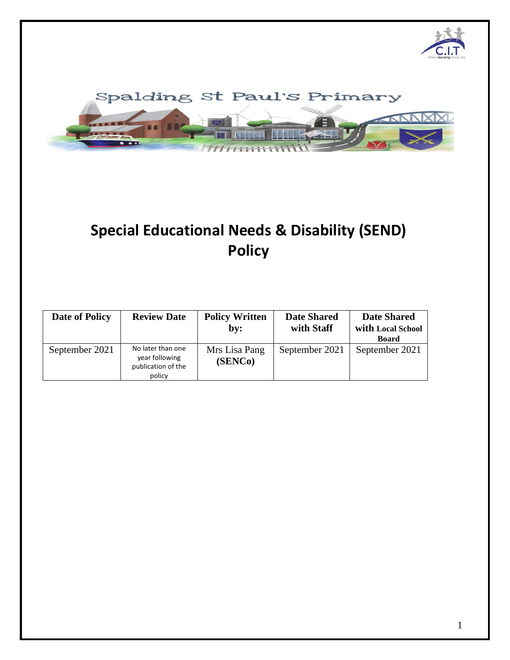



# **Special Educational Needs & Disability (SEND) Policy**

| <b>Date of Policy</b> | <b>Review Date</b>                                                  | <b>Policy Written</b><br>by: | <b>Date Shared</b><br>with Staff | <b>Date Shared</b><br>with Local School<br><b>Board</b> |
|-----------------------|---------------------------------------------------------------------|------------------------------|----------------------------------|---------------------------------------------------------|
| September 2021        | No later than one<br>year following<br>publication of the<br>policy | Mrs Lisa Pang<br>(SENCo)     | September 2021                   | September 2021                                          |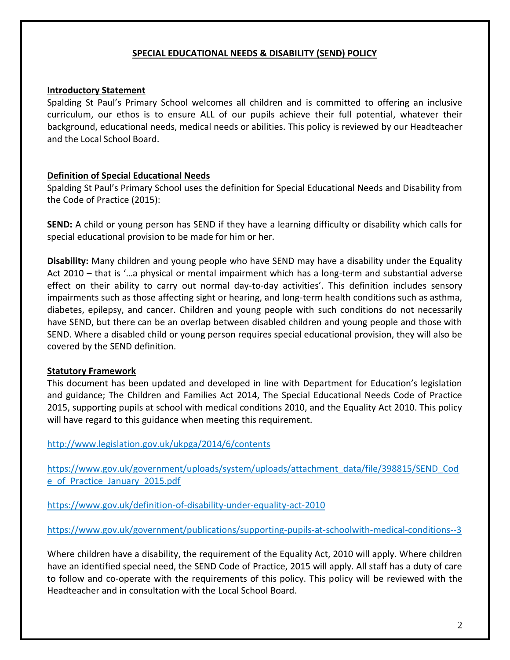#### **SPECIAL EDUCATIONAL NEEDS & DISABILITY (SEND) POLICY**

#### **Introductory Statement**

Spalding St Paul's Primary School welcomes all children and is committed to offering an inclusive curriculum, our ethos is to ensure ALL of our pupils achieve their full potential, whatever their background, educational needs, medical needs or abilities. This policy is reviewed by our Headteacher and the Local School Board.

#### **Definition of Special Educational Needs**

Spalding St Paul's Primary School uses the definition for Special Educational Needs and Disability from the Code of Practice (2015):

**SEND:** A child or young person has SEND if they have a learning difficulty or disability which calls for special educational provision to be made for him or her.

**Disability:** Many children and young people who have SEND may have a disability under the Equality Act 2010 – that is '…a physical or mental impairment which has a long-term and substantial adverse effect on their ability to carry out normal day-to-day activities'. This definition includes sensory impairments such as those affecting sight or hearing, and long-term health conditions such as asthma, diabetes, epilepsy, and cancer. Children and young people with such conditions do not necessarily have SEND, but there can be an overlap between disabled children and young people and those with SEND. Where a disabled child or young person requires special educational provision, they will also be covered by the SEND definition.

#### **Statutory Framework**

This document has been updated and developed in line with Department for Education's legislation and guidance; The Children and Families Act 2014, The Special Educational Needs Code of Practice 2015, supporting pupils at school with medical conditions 2010, and the Equality Act 2010. This policy will have regard to this guidance when meeting this requirement.

#### <http://www.legislation.gov.uk/ukpga/2014/6/contents>

https://www.gov.uk/government/uploads/system/uploads/attachment\_data/file/398815/SEND\_Cod e\_of\_Practice\_January\_2015.pdf

<https://www.gov.uk/definition-of-disability-under-equality-act-2010>

<https://www.gov.uk/government/publications/supporting-pupils-at-schoolwith-medical-conditions--3>

Where children have a disability, the requirement of the Equality Act, 2010 will apply. Where children have an identified special need, the SEND Code of Practice, 2015 will apply. All staff has a duty of care to follow and co-operate with the requirements of this policy. This policy will be reviewed with the Headteacher and in consultation with the Local School Board.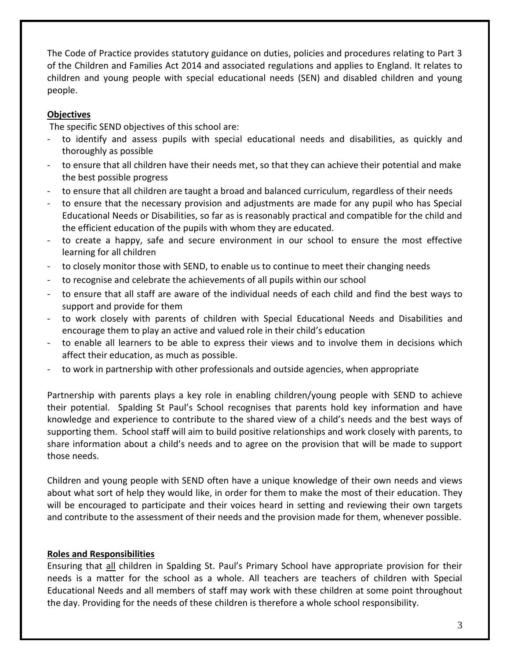The Code of Practice provides statutory guidance on duties, policies and procedures relating to Part 3 of the Children and Families Act 2014 and associated regulations and applies to England. It relates to children and young people with special educational needs (SEN) and disabled children and young people.

## **Objectives**

The specific SEND objectives of this school are:

- to identify and assess pupils with special educational needs and disabilities, as quickly and thoroughly as possible
- to ensure that all children have their needs met, so that they can achieve their potential and make the best possible progress
- to ensure that all children are taught a broad and balanced curriculum, regardless of their needs
- to ensure that the necessary provision and adjustments are made for any pupil who has Special Educational Needs or Disabilities, so far as is reasonably practical and compatible for the child and the efficient education of the pupils with whom they are educated.
- to create a happy, safe and secure environment in our school to ensure the most effective learning for all children
- to closely monitor those with SEND, to enable us to continue to meet their changing needs
- to recognise and celebrate the achievements of all pupils within our school
- to ensure that all staff are aware of the individual needs of each child and find the best ways to support and provide for them
- to work closely with parents of children with Special Educational Needs and Disabilities and encourage them to play an active and valued role in their child's education
- to enable all learners to be able to express their views and to involve them in decisions which affect their education, as much as possible.
- to work in partnership with other professionals and outside agencies, when appropriate

Partnership with parents plays a key role in enabling children/young people with SEND to achieve their potential. Spalding St Paul's School recognises that parents hold key information and have knowledge and experience to contribute to the shared view of a child's needs and the best ways of supporting them. School staff will aim to build positive relationships and work closely with parents, to share information about a child's needs and to agree on the provision that will be made to support those needs.

Children and young people with SEND often have a unique knowledge of their own needs and views about what sort of help they would like, in order for them to make the most of their education. They will be encouraged to participate and their voices heard in setting and reviewing their own targets and contribute to the assessment of their needs and the provision made for them, whenever possible.

# **Roles and Responsibilities**

Ensuring that all children in Spalding St. Paul's Primary School have appropriate provision for their needs is a matter for the school as a whole. All teachers are teachers of children with Special Educational Needs and all members of staff may work with these children at some point throughout the day. Providing for the needs of these children is therefore a whole school responsibility.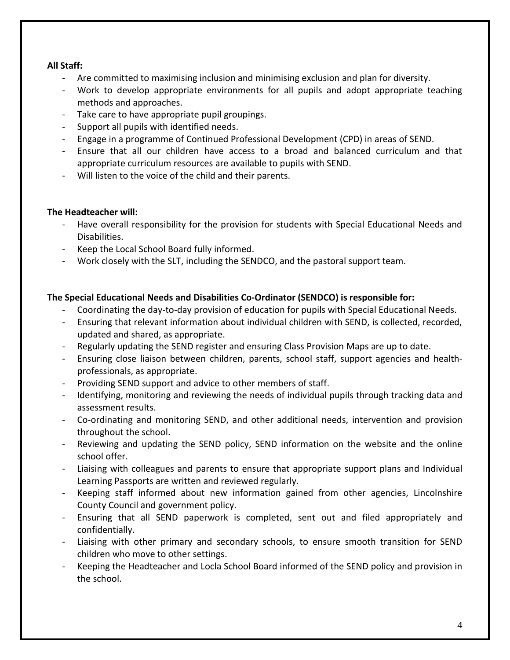## **All Staff:**

- Are committed to maximising inclusion and minimising exclusion and plan for diversity.
- Work to develop appropriate environments for all pupils and adopt appropriate teaching methods and approaches.
- Take care to have appropriate pupil groupings.
- Support all pupils with identified needs.
- Engage in a programme of Continued Professional Development (CPD) in areas of SEND.
- Ensure that all our children have access to a broad and balanced curriculum and that appropriate curriculum resources are available to pupils with SEND.
- Will listen to the voice of the child and their parents.

#### **The Headteacher will:**

- Have overall responsibility for the provision for students with Special Educational Needs and Disabilities.
- Keep the Local School Board fully informed.
- Work closely with the SLT, including the SENDCO, and the pastoral support team.

## **The Special Educational Needs and Disabilities Co-Ordinator (SENDCO) is responsible for:**

- Coordinating the day-to-day provision of education for pupils with Special Educational Needs.
- Ensuring that relevant information about individual children with SEND, is collected, recorded, updated and shared, as appropriate.
- Regularly updating the SEND register and ensuring Class Provision Maps are up to date.
- Ensuring close liaison between children, parents, school staff, support agencies and healthprofessionals, as appropriate.
- Providing SEND support and advice to other members of staff.
- Identifying, monitoring and reviewing the needs of individual pupils through tracking data and assessment results.
- Co-ordinating and monitoring SEND, and other additional needs, intervention and provision throughout the school.
- Reviewing and updating the SEND policy, SEND information on the website and the online school offer.
- Liaising with colleagues and parents to ensure that appropriate support plans and Individual Learning Passports are written and reviewed regularly.
- Keeping staff informed about new information gained from other agencies, Lincolnshire County Council and government policy.
- Ensuring that all SEND paperwork is completed, sent out and filed appropriately and confidentially.
- Liaising with other primary and secondary schools, to ensure smooth transition for SEND children who move to other settings.
- Keeping the Headteacher and Locla School Board informed of the SEND policy and provision in the school.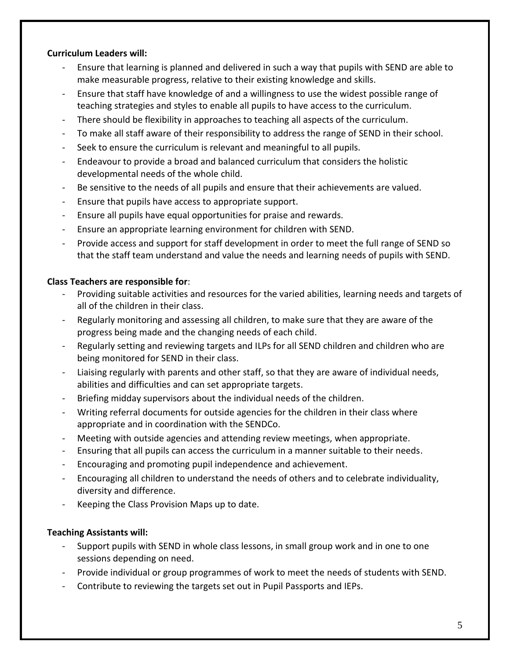#### **Curriculum Leaders will:**

- Ensure that learning is planned and delivered in such a way that pupils with SEND are able to make measurable progress, relative to their existing knowledge and skills.
- Ensure that staff have knowledge of and a willingness to use the widest possible range of teaching strategies and styles to enable all pupils to have access to the curriculum.
- There should be flexibility in approaches to teaching all aspects of the curriculum.
- To make all staff aware of their responsibility to address the range of SEND in their school.
- Seek to ensure the curriculum is relevant and meaningful to all pupils.
- Endeavour to provide a broad and balanced curriculum that considers the holistic developmental needs of the whole child.
- Be sensitive to the needs of all pupils and ensure that their achievements are valued.
- Ensure that pupils have access to appropriate support.
- Ensure all pupils have equal opportunities for praise and rewards.
- Ensure an appropriate learning environment for children with SEND.
- Provide access and support for staff development in order to meet the full range of SEND so that the staff team understand and value the needs and learning needs of pupils with SEND.

# **Class Teachers are responsible for**:

- Providing suitable activities and resources for the varied abilities, learning needs and targets of all of the children in their class.
- Regularly monitoring and assessing all children, to make sure that they are aware of the progress being made and the changing needs of each child.
- Regularly setting and reviewing targets and ILPs for all SEND children and children who are being monitored for SEND in their class.
- Liaising regularly with parents and other staff, so that they are aware of individual needs, abilities and difficulties and can set appropriate targets.
- Briefing midday supervisors about the individual needs of the children.
- Writing referral documents for outside agencies for the children in their class where appropriate and in coordination with the SENDCo.
- Meeting with outside agencies and attending review meetings, when appropriate.
- Ensuring that all pupils can access the curriculum in a manner suitable to their needs.
- Encouraging and promoting pupil independence and achievement.
- Encouraging all children to understand the needs of others and to celebrate individuality, diversity and difference.
- Keeping the Class Provision Maps up to date.

# **Teaching Assistants will:**

- Support pupils with SEND in whole class lessons, in small group work and in one to one sessions depending on need.
- Provide individual or group programmes of work to meet the needs of students with SEND.
- Contribute to reviewing the targets set out in Pupil Passports and IEPs.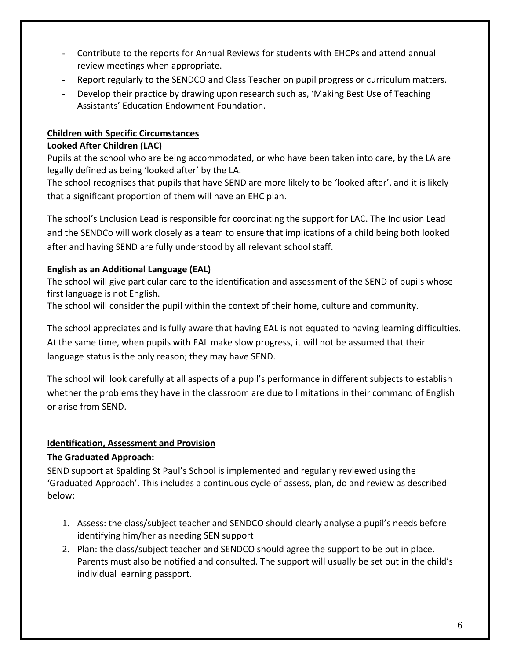- Contribute to the reports for Annual Reviews for students with EHCPs and attend annual review meetings when appropriate.
- Report regularly to the SENDCO and Class Teacher on pupil progress or curriculum matters.
- Develop their practice by drawing upon research such as, 'Making Best Use of Teaching Assistants' Education Endowment Foundation.

# **Children with Specific Circumstances**

## **Looked After Children (LAC)**

Pupils at the school who are being accommodated, or who have been taken into care, by the LA are legally defined as being 'looked after' by the LA.

The school recognises that pupils that have SEND are more likely to be 'looked after', and it is likely that a significant proportion of them will have an EHC plan.

The school's Lnclusion Lead is responsible for coordinating the support for LAC. The Inclusion Lead and the SENDCo will work closely as a team to ensure that implications of a child being both looked after and having SEND are fully understood by all relevant school staff.

# **English as an Additional Language (EAL)**

The school will give particular care to the identification and assessment of the SEND of pupils whose first language is not English.

The school will consider the pupil within the context of their home, culture and community.

The school appreciates and is fully aware that having EAL is not equated to having learning difficulties. At the same time, when pupils with EAL make slow progress, it will not be assumed that their language status is the only reason; they may have SEND.

The school will look carefully at all aspects of a pupil's performance in different subjects to establish whether the problems they have in the classroom are due to limitations in their command of English or arise from SEND.

# **Identification, Assessment and Provision**

# **The Graduated Approach:**

SEND support at Spalding St Paul's School is implemented and regularly reviewed using the 'Graduated Approach'. This includes a continuous cycle of assess, plan, do and review as described below:

- 1. Assess: the class/subject teacher and SENDCO should clearly analyse a pupil's needs before identifying him/her as needing SEN support
- 2. Plan: the class/subject teacher and SENDCO should agree the support to be put in place. Parents must also be notified and consulted. The support will usually be set out in the child's individual learning passport.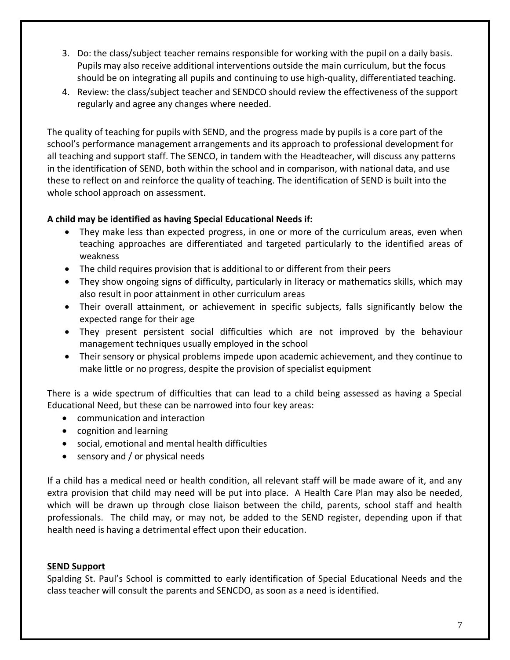- 3. Do: the class/subject teacher remains responsible for working with the pupil on a daily basis. Pupils may also receive additional interventions outside the main curriculum, but the focus should be on integrating all pupils and continuing to use high-quality, differentiated teaching.
- 4. Review: the class/subject teacher and SENDCO should review the effectiveness of the support regularly and agree any changes where needed.

The quality of teaching for pupils with SEND, and the progress made by pupils is a core part of the school's performance management arrangements and its approach to professional development for all teaching and support staff. The SENCO, in tandem with the Headteacher, will discuss any patterns in the identification of SEND, both within the school and in comparison, with national data, and use these to reflect on and reinforce the quality of teaching. The identification of SEND is built into the whole school approach on assessment.

## **A child may be identified as having Special Educational Needs if:**

- They make less than expected progress, in one or more of the curriculum areas, even when teaching approaches are differentiated and targeted particularly to the identified areas of weakness
- The child requires provision that is additional to or different from their peers
- They show ongoing signs of difficulty, particularly in literacy or mathematics skills, which may also result in poor attainment in other curriculum areas
- Their overall attainment, or achievement in specific subjects, falls significantly below the expected range for their age
- They present persistent social difficulties which are not improved by the behaviour management techniques usually employed in the school
- Their sensory or physical problems impede upon academic achievement, and they continue to make little or no progress, despite the provision of specialist equipment

There is a wide spectrum of difficulties that can lead to a child being assessed as having a Special Educational Need, but these can be narrowed into four key areas:

- communication and interaction
- cognition and learning
- social, emotional and mental health difficulties
- sensory and / or physical needs

If a child has a medical need or health condition, all relevant staff will be made aware of it, and any extra provision that child may need will be put into place. A Health Care Plan may also be needed, which will be drawn up through close liaison between the child, parents, school staff and health professionals. The child may, or may not, be added to the SEND register, depending upon if that health need is having a detrimental effect upon their education.

## **SEND Support**

Spalding St. Paul's School is committed to early identification of Special Educational Needs and the class teacher will consult the parents and SENCDO, as soon as a need is identified.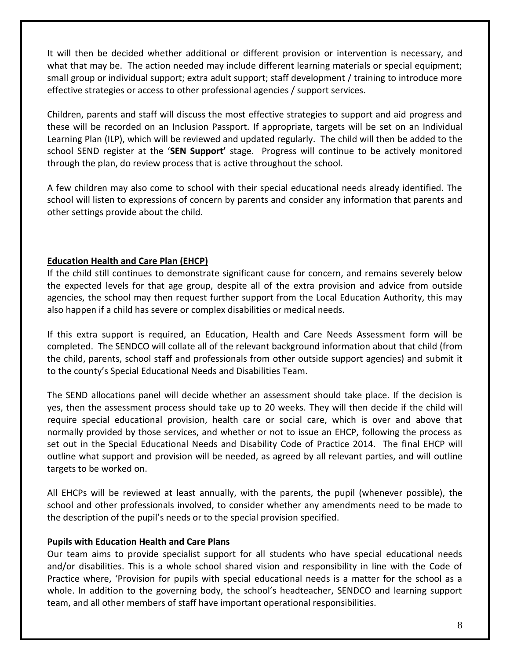It will then be decided whether additional or different provision or intervention is necessary, and what that may be. The action needed may include different learning materials or special equipment; small group or individual support; extra adult support; staff development / training to introduce more effective strategies or access to other professional agencies / support services.

Children, parents and staff will discuss the most effective strategies to support and aid progress and these will be recorded on an Inclusion Passport. If appropriate, targets will be set on an Individual Learning Plan (ILP), which will be reviewed and updated regularly. The child will then be added to the school SEND register at the '**SEN Support'** stage. Progress will continue to be actively monitored through the plan, do review process that is active throughout the school.

A few children may also come to school with their special educational needs already identified. The school will listen to expressions of concern by parents and consider any information that parents and other settings provide about the child.

## **Education Health and Care Plan (EHCP)**

If the child still continues to demonstrate significant cause for concern, and remains severely below the expected levels for that age group, despite all of the extra provision and advice from outside agencies, the school may then request further support from the Local Education Authority, this may also happen if a child has severe or complex disabilities or medical needs.

If this extra support is required, an Education, Health and Care Needs Assessment form will be completed. The SENDCO will collate all of the relevant background information about that child (from the child, parents, school staff and professionals from other outside support agencies) and submit it to the county's Special Educational Needs and Disabilities Team.

The SEND allocations panel will decide whether an assessment should take place. If the decision is yes, then the assessment process should take up to 20 weeks. They will then decide if the child will require special educational provision, health care or social care, which is over and above that normally provided by those services, and whether or not to issue an EHCP, following the process as set out in the Special Educational Needs and Disability Code of Practice 2014. The final EHCP will outline what support and provision will be needed, as agreed by all relevant parties, and will outline targets to be worked on.

All EHCPs will be reviewed at least annually, with the parents, the pupil (whenever possible), the school and other professionals involved, to consider whether any amendments need to be made to the description of the pupil's needs or to the special provision specified.

## **Pupils with Education Health and Care Plans**

Our team aims to provide specialist support for all students who have special educational needs and/or disabilities. This is a whole school shared vision and responsibility in line with the Code of Practice where, 'Provision for pupils with special educational needs is a matter for the school as a whole. In addition to the governing body, the school's headteacher, SENDCO and learning support team, and all other members of staff have important operational responsibilities.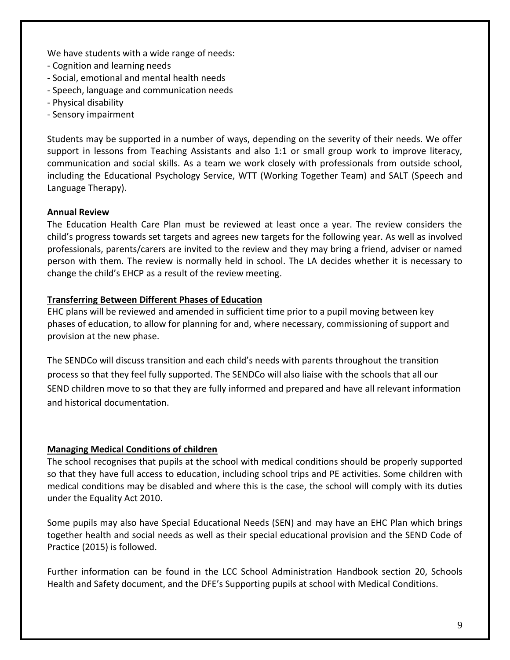We have students with a wide range of needs:

- Cognition and learning needs
- Social, emotional and mental health needs
- Speech, language and communication needs
- Physical disability
- Sensory impairment

Students may be supported in a number of ways, depending on the severity of their needs. We offer support in lessons from Teaching Assistants and also 1:1 or small group work to improve literacy, communication and social skills. As a team we work closely with professionals from outside school, including the Educational Psychology Service, WTT (Working Together Team) and SALT (Speech and Language Therapy).

## **Annual Review**

The Education Health Care Plan must be reviewed at least once a year. The review considers the child's progress towards set targets and agrees new targets for the following year. As well as involved professionals, parents/carers are invited to the review and they may bring a friend, adviser or named person with them. The review is normally held in school. The LA decides whether it is necessary to change the child's EHCP as a result of the review meeting.

## **Transferring Between Different Phases of Education**

EHC plans will be reviewed and amended in sufficient time prior to a pupil moving between key phases of education, to allow for planning for and, where necessary, commissioning of support and provision at the new phase.

The SENDCo will discuss transition and each child's needs with parents throughout the transition process so that they feel fully supported. The SENDCo will also liaise with the schools that all our SEND children move to so that they are fully informed and prepared and have all relevant information and historical documentation.

## **Managing Medical Conditions of children**

The school recognises that pupils at the school with medical conditions should be properly supported so that they have full access to education, including school trips and PE activities. Some children with medical conditions may be disabled and where this is the case, the school will comply with its duties under the Equality Act 2010.

Some pupils may also have Special Educational Needs (SEN) and may have an EHC Plan which brings together health and social needs as well as their special educational provision and the SEND Code of Practice (2015) is followed.

Further information can be found in the LCC School Administration Handbook section 20, Schools Health and Safety document, and the DFE's Supporting pupils at school with Medical Conditions.